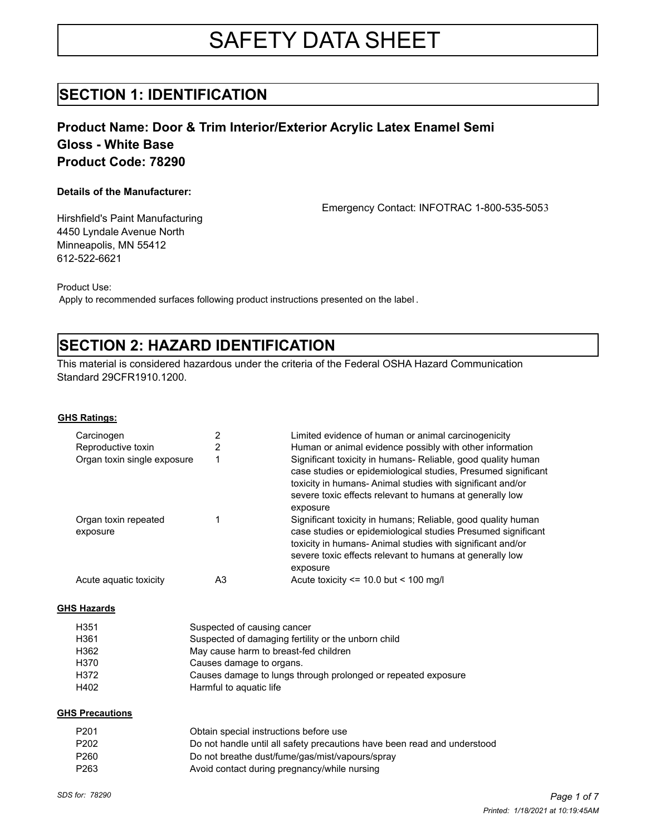# SAFETY DATA SHEET

### **SECTION 1: IDENTIFICATION**

### **Product Name: Door & Trim Interior/Exterior Acrylic Latex Enamel Semi Gloss - White Base Product Code: 78290**

### **Details of the Manufacturer:**

Emergency Contact: INFOTRAC 1-800-535-5053

Hirshfield's Paint Manufacturing 4450 Lyndale Avenue North Minneapolis, MN 55412 612-522-6621

Product Use:

Apply to recommended surfaces following product instructions presented on the label .

## **SECTION 2: HAZARD IDENTIFICATION**

This material is considered hazardous under the criteria of the Federal OSHA Hazard Communication Standard 29CFR1910.1200.

**GHS Ratings:**

| Carcinogen                       |    | Limited evidence of human or animal carcinogenicity                                                                                                                                                                                                                |
|----------------------------------|----|--------------------------------------------------------------------------------------------------------------------------------------------------------------------------------------------------------------------------------------------------------------------|
| Reproductive toxin               |    | Human or animal evidence possibly with other information                                                                                                                                                                                                           |
| Organ toxin single exposure      |    | Significant toxicity in humans- Reliable, good quality human<br>case studies or epidemiological studies, Presumed significant<br>toxicity in humans-Animal studies with significant and/or<br>severe toxic effects relevant to humans at generally low<br>exposure |
| Organ toxin repeated<br>exposure |    | Significant toxicity in humans; Reliable, good quality human<br>case studies or epidemiological studies Presumed significant<br>toxicity in humans-Animal studies with significant and/or<br>severe toxic effects relevant to humans at generally low<br>exposure  |
| Acute aquatic toxicity           | A3 | Acute toxicity $\le$ 10.0 but $\le$ 100 mg/l                                                                                                                                                                                                                       |

#### **GHS Hazards**

| H <sub>351</sub> | Suspected of causing cancer                                   |
|------------------|---------------------------------------------------------------|
| H361             | Suspected of damaging fertility or the unborn child           |
| H362             | May cause harm to breast-fed children                         |
| H370             | Causes damage to organs.                                      |
| H372             | Causes damage to lungs through prolonged or repeated exposure |
| H402             | Harmful to aguatic life                                       |

#### **GHS Precautions**

| P201 | Obtain special instructions before use                                   |
|------|--------------------------------------------------------------------------|
| P202 | Do not handle until all safety precautions have been read and understood |
| P260 | Do not breathe dust/fume/gas/mist/vapours/spray                          |
| P263 | Avoid contact during pregnancy/while nursing                             |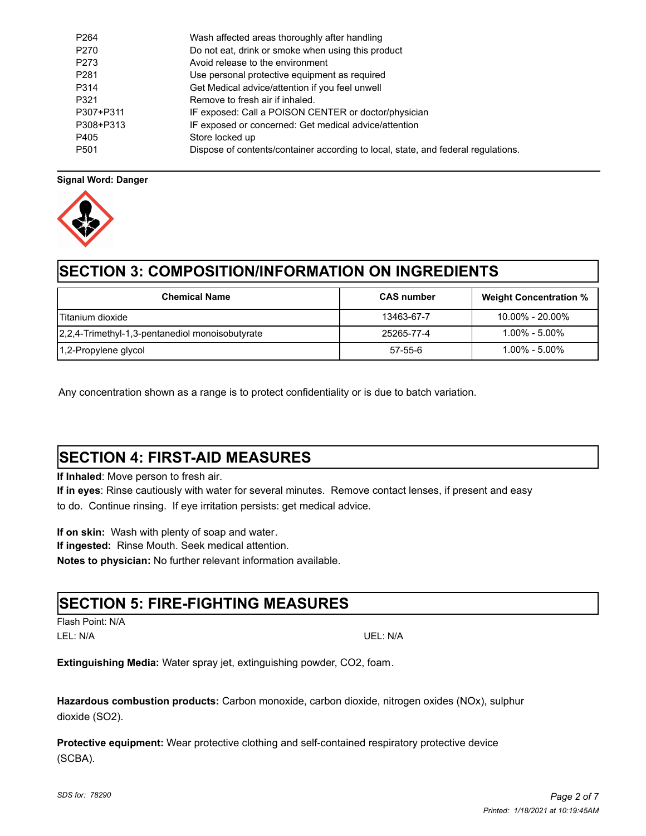| P <sub>264</sub> | Wash affected areas thoroughly after handling                                     |
|------------------|-----------------------------------------------------------------------------------|
| P <sub>270</sub> | Do not eat, drink or smoke when using this product                                |
| P273             | Avoid release to the environment                                                  |
| P <sub>281</sub> | Use personal protective equipment as required                                     |
| P314             | Get Medical advice/attention if you feel unwell                                   |
| P321             | Remove to fresh air if inhaled.                                                   |
| P307+P311        | IF exposed: Call a POISON CENTER or doctor/physician                              |
| P308+P313        | IF exposed or concerned: Get medical advice/attention                             |
| P405             | Store locked up                                                                   |
| P <sub>501</sub> | Dispose of contents/container according to local, state, and federal regulations. |

### **Signal Word: Danger**



## **SECTION 3: COMPOSITION/INFORMATION ON INGREDIENTS**

| <b>Chemical Name</b>                            | <b>CAS</b> number | <b>Weight Concentration %</b> |
|-------------------------------------------------|-------------------|-------------------------------|
| l Titanium dioxide                              | 13463-67-7        | $10.00\% - 20.00\%$           |
| 2,2,4-Trimethyl-1,3-pentanediol monoisobutyrate | 25265-77-4        | $1.00\%$ - $5.00\%$           |
| 1,2-Propylene glycol                            | 57-55-6           | $1.00\%$ - $5.00\%$           |

Any concentration shown as a range is to protect confidentiality or is due to batch variation.

## **SECTION 4: FIRST-AID MEASURES**

**If Inhaled**: Move person to fresh air.

**If in eyes**: Rinse cautiously with water for several minutes. Remove contact lenses, if present and easy to do. Continue rinsing. If eye irritation persists: get medical advice.

**If on skin:** Wash with plenty of soap and water. **If ingested:** Rinse Mouth. Seek medical attention. **Notes to physician:** No further relevant information available.

### **SECTION 5: FIRE-FIGHTING MEASURES**

Flash Point: N/A LEL: N/A UEL: N/A

**Extinguishing Media:** Water spray jet, extinguishing powder, CO2, foam.

**Hazardous combustion products:** Carbon monoxide, carbon dioxide, nitrogen oxides (NOx), sulphur dioxide (SO2).

**Protective equipment:** Wear protective clothing and self-contained respiratory protective device (SCBA).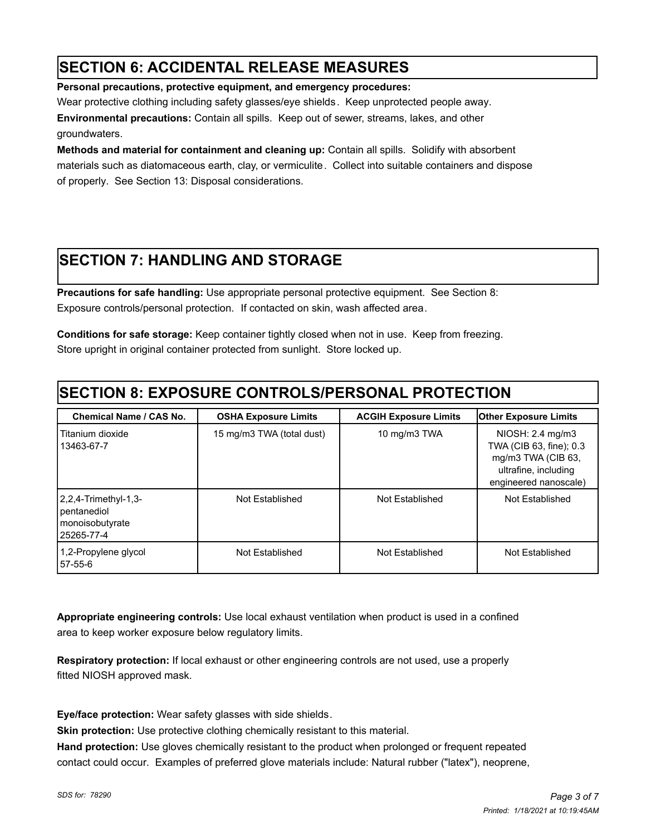## **SECTION 6: ACCIDENTAL RELEASE MEASURES**

**Personal precautions, protective equipment, and emergency procedures:** 

Wear protective clothing including safety glasses/eye shields. Keep unprotected people away.

**Environmental precautions:** Contain all spills.Keep out of sewer, streams, lakes, and other groundwaters.

**Methods and material for containment and cleaning up:** Contain all spills. Solidify with absorbent materials such as diatomaceous earth, clay, or vermiculite. Collect into suitable containers and dispose of properly. See Section 13: Disposal considerations.

## **SECTION 7: HANDLING AND STORAGE**

**Precautions for safe handling:** Use appropriate personal protective equipment. See Section 8: Exposure controls/personal protection. If contacted on skin, wash affected area.

**Conditions for safe storage:** Keep container tightly closed when not in use. Keep from freezing. Store upright in original container protected from sunlight. Store locked up.

## **SECTION 8: EXPOSURE CONTROLS/PERSONAL PROTECTION**

| <b>Chemical Name / CAS No.</b>                                           | <b>OSHA Exposure Limits</b> | <b>ACGIH Exposure Limits</b> | <b>Other Exposure Limits</b>                                                                                       |
|--------------------------------------------------------------------------|-----------------------------|------------------------------|--------------------------------------------------------------------------------------------------------------------|
| Titanium dioxide<br>13463-67-7                                           | 15 mg/m3 TWA (total dust)   | 10 mg/m3 TWA                 | NIOSH: 2.4 mg/m3<br>TWA (CIB 63, fine); 0.3<br>mg/m3 TWA (CIB 63,<br>ultrafine, including<br>engineered nanoscale) |
| $ 2,2,4$ -Trimethyl-1,3-<br>pentanediol<br>monoisobutyrate<br>25265-77-4 | Not Established             | Not Established              | Not Established                                                                                                    |
| 1,2-Propylene glycol<br>157-55-6                                         | Not Established             | Not Established              | Not Established                                                                                                    |

**Appropriate engineering controls:** Use local exhaust ventilation when product is used in a confined area to keep worker exposure below regulatory limits.

**Respiratory protection:** If local exhaust or other engineering controls are not used, use a properly fitted NIOSH approved mask.

**Eye/face protection:** Wear safety glasses with side shields.

**Skin protection:** Use protective clothing chemically resistant to this material.

**Hand protection:** Use gloves chemically resistant to the product when prolonged or frequent repeated contact could occur. Examples of preferred glove materials include: Natural rubber ("latex"), neoprene,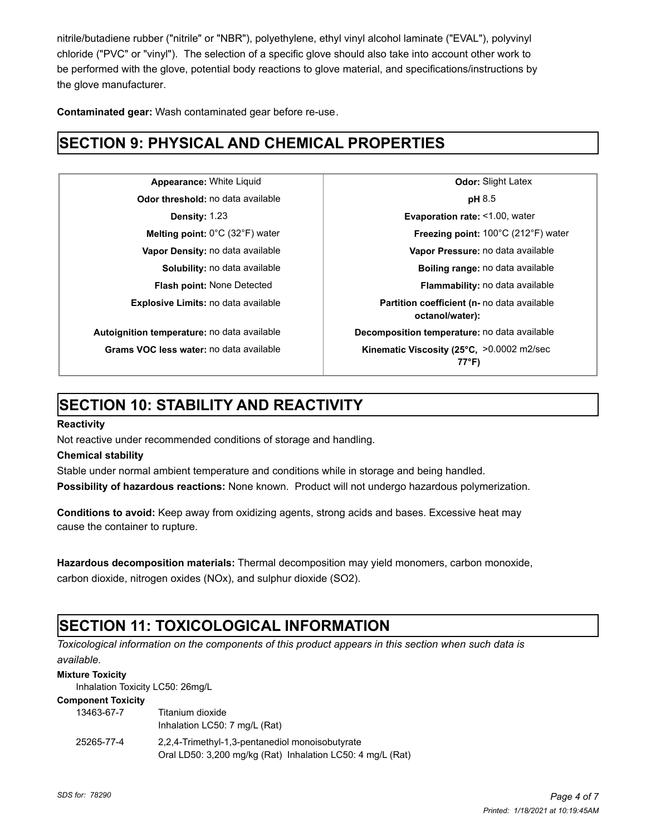nitrile/butadiene rubber ("nitrile" or "NBR"), polyethylene, ethyl vinyl alcohol laminate ("EVAL"), polyvinyl chloride ("PVC" or "vinyl"). The selection of a specific glove should also take into account other work to be performed with the glove, potential body reactions to glove material, and specifications/instructions by the glove manufacturer.

**Contaminated gear:** Wash contaminated gear before re-use.

## **SECTION 9: PHYSICAL AND CHEMICAL PROPERTIES**

**Odor threshold:** no data available **pH** 8.5

**Appearance:** White Liquid **Constanting Latex Odor:** Slight Latex **Density:** 1.23 **Evaporation rate:** <1.00, water **Melting point:** 0°C (32°F) water **Freezing point:** 100°C (212°F) water **Vapor Density:** no data available **Vapor Pressure:** no data available **Solubility:** no data available **Boiling range:** no data available **Flash point:** None Detected **Flammability:** no data available **Explosive Limits:** no data available **Partition coefficient (n-** no data available **octanol/water): Autoignition temperature:** no data available **Decomposition temperature:** no data available Grams VOC less water: no data available **Kinematic Viscosity (25°C, >0.0002** m2/sec **77°F)**

## **SECTION 10: STABILITY AND REACTIVITY**

### **Reactivity**

Not reactive under recommended conditions of storage and handling.

### **Chemical stability**

Stable under normal ambient temperature and conditions while in storage and being handled.

**Possibility of hazardous reactions:** None known. Product will not undergo hazardous polymerization.

**Conditions to avoid:** Keep away from oxidizing agents, strong acids and bases. Excessive heat may cause the container to rupture.

**Hazardous decomposition materials:** Thermal decomposition may yield monomers, carbon monoxide, carbon dioxide, nitrogen oxides (NOx), and sulphur dioxide (SO2).

## **SECTION 11: TOXICOLOGICAL INFORMATION**

*Toxicological information on the components of this product appears in this section when such data is available.*

#### **Mixture Toxicity**

Inhalation Toxicity LC50: 26mg/L

#### **Component Toxicity**

| 13463-67-7 | Titanium dioxide<br>Inhalation LC50: 7 mg/L (Rat)                                                             |
|------------|---------------------------------------------------------------------------------------------------------------|
| 25265-77-4 | 2.2.4-Trimethyl-1.3-pentanediol monoisobutyrate<br>Oral LD50: 3,200 mg/kg (Rat) Inhalation LC50: 4 mg/L (Rat) |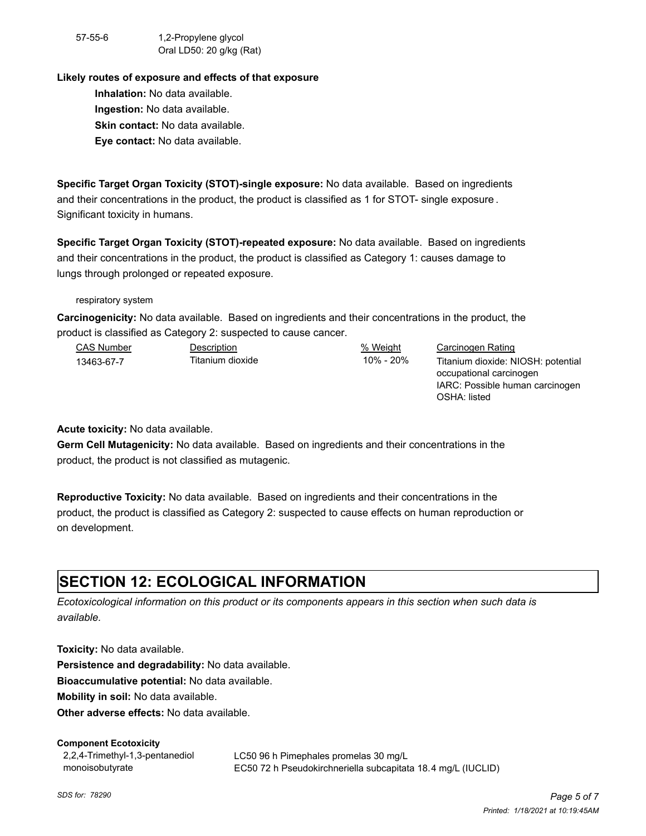57-55-6 1,2-Propylene glycol Oral LD50: 20 g/kg (Rat)

#### **Likely routes of exposure and effects of that exposure**

**Inhalation:** No data available. **Ingestion:** No data available. **Skin contact:** No data available. **Eye contact:** No data available.

**Specific Target Organ Toxicity (STOT)-single exposure:** No data available. Based on ingredients and their concentrations in the product, the product is classified as 1 for STOT- single exposure . Significant toxicity in humans.

**Specific Target Organ Toxicity (STOT)-repeated exposure:** No data available. Based on ingredients and their concentrations in the product, the product is classified as Category 1: causes damage to lungs through prolonged or repeated exposure.

respiratory system

**Carcinogenicity:** No data available. Based on ingredients and their concentrations in the product, the product is classified as Category 2: suspected to cause cancer.

| <b>CAS Number</b> | Description      | % Weight  | Carcinogen Rating                  |
|-------------------|------------------|-----------|------------------------------------|
| 13463-67-7        | Titanium dioxide | 10% - 20% | Titanium dioxide: NIOSH: potential |
|                   |                  |           | occupational carcinogen            |
|                   |                  |           | IARC: Possible human carcinogen    |

OSHA: listed

**Acute toxicity:** No data available.

**Germ Cell Mutagenicity:** No data available. Based on ingredients and their concentrations in the product, the product is not classified as mutagenic.

**Reproductive Toxicity:** No data available. Based on ingredients and their concentrations in the product, the product is classified as Category 2: suspected to cause effects on human reproduction or on development.

## **SECTION 12: ECOLOGICAL INFORMATION**

*Ecotoxicological information on this product or its components appears in this section when such data is available.*

**Toxicity:** No data available.

**Persistence and degradability:** No data available.

**Bioaccumulative potential:** No data available.

**Mobility in soil:** No data available.

**Other adverse effects:** No data available.

#### **Component Ecotoxicity**

2,2,4-Trimethyl-1,3-pentanediol monoisobutyrate

LC50 96 h Pimephales promelas 30 mg/L EC50 72 h Pseudokirchneriella subcapitata 18.4 mg/L (IUCLID)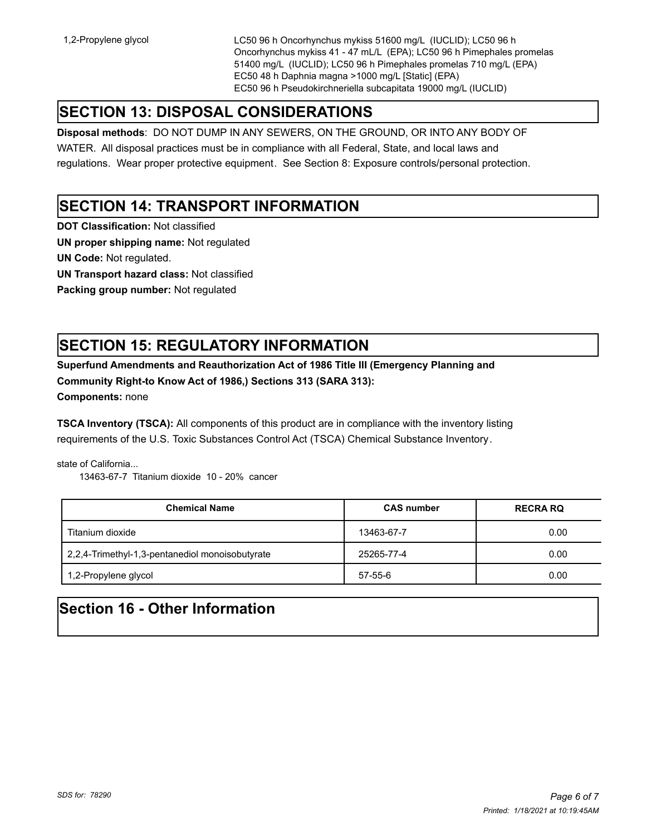1,2-Propylene glycol LC50 96 h Oncorhynchus mykiss 51600 mg/L (IUCLID); LC50 96 h Oncorhynchus mykiss 41 - 47 mL/L (EPA); LC50 96 h Pimephales promelas 51400 mg/L (IUCLID); LC50 96 h Pimephales promelas 710 mg/L (EPA) EC50 48 h Daphnia magna >1000 mg/L [Static] (EPA) EC50 96 h Pseudokirchneriella subcapitata 19000 mg/L (IUCLID)

## **SECTION 13: DISPOSAL CONSIDERATIONS**

**Disposal methods**: DO NOT DUMP IN ANY SEWERS, ON THE GROUND, OR INTO ANY BODY OF

WATER. All disposal practices must be in compliance with all Federal, State, and local laws and regulations. Wear proper protective equipment. See Section 8: Exposure controls/personal protection.

### **SECTION 14: TRANSPORT INFORMATION**

**DOT Classification:** Not classified

**UN proper shipping name:** Not regulated

**UN Code:** Not regulated.

**UN Transport hazard class:** Not classified

**Packing group number:** Not regulated

## **SECTION 15: REGULATORY INFORMATION**

**Superfund Amendments and Reauthorization Act of 1986 Title III (Emergency Planning and Community Right-to Know Act of 1986,) Sections 313 (SARA 313):** 

**Components:** none

**TSCA Inventory (TSCA):** All components of this product are in compliance with the inventory listing requirements of the U.S. Toxic Substances Control Act (TSCA) Chemical Substance Inventory.

state of California...

13463-67-7 Titanium dioxide 10 - 20% cancer

| <b>Chemical Name</b>                            | <b>CAS number</b> | <b>RECRA RQ</b> |
|-------------------------------------------------|-------------------|-----------------|
| Titanium dioxide                                | 13463-67-7        | 0.00            |
| 2,2,4-Trimethyl-1,3-pentanediol monoisobutyrate | 25265-77-4        | 0.00            |
| 1,2-Propylene glycol                            | 57-55-6           | 0.00            |

## **Section 16 - Other Information**